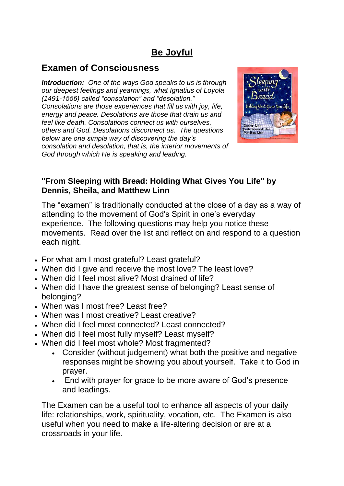# **Be Joyful**

## **Examen of Consciousness**

*Introduction: One of the ways God speaks to us is through our deepest feelings and yearnings, what Ignatius of Loyola (1491-1556) called "consolation" and "desolation." Consolations are those experiences that fill us with joy, life, energy and peace. Desolations are those that drain us and feel like death. Consolations connect us with ourselves, others and God. Desolations disconnect us. The questions below are one simple way of discovering the day's consolation and desolation, that is, the interior movements of God through which He is speaking and leading.*



## **"From Sleeping with Bread: Holding What Gives You Life" by Dennis, Sheila, and Matthew Linn**

The "examen" is traditionally conducted at the close of a day as a way of attending to the movement of God's Spirit in one's everyday experience. The following questions may help you notice these movements. Read over the list and reflect on and respond to a question each night.

- For what am I most grateful? Least grateful?
- When did I give and receive the most love? The least love?
- When did I feel most alive? Most drained of life?
- When did I have the greatest sense of belonging? Least sense of belonging?
- When was I most free? Least free?
- When was I most creative? Least creative?
- When did I feel most connected? Least connected?
- When did I feel most fully myself? Least myself?
- When did I feel most whole? Most fragmented?
	- Consider (without judgement) what both the positive and negative responses might be showing you about yourself. Take it to God in prayer.
	- End with prayer for grace to be more aware of God's presence and leadings.

The Examen can be a useful tool to enhance all aspects of your daily life: relationships, work, spirituality, vocation, etc. The Examen is also useful when you need to make a life-altering decision or are at a crossroads in your life.